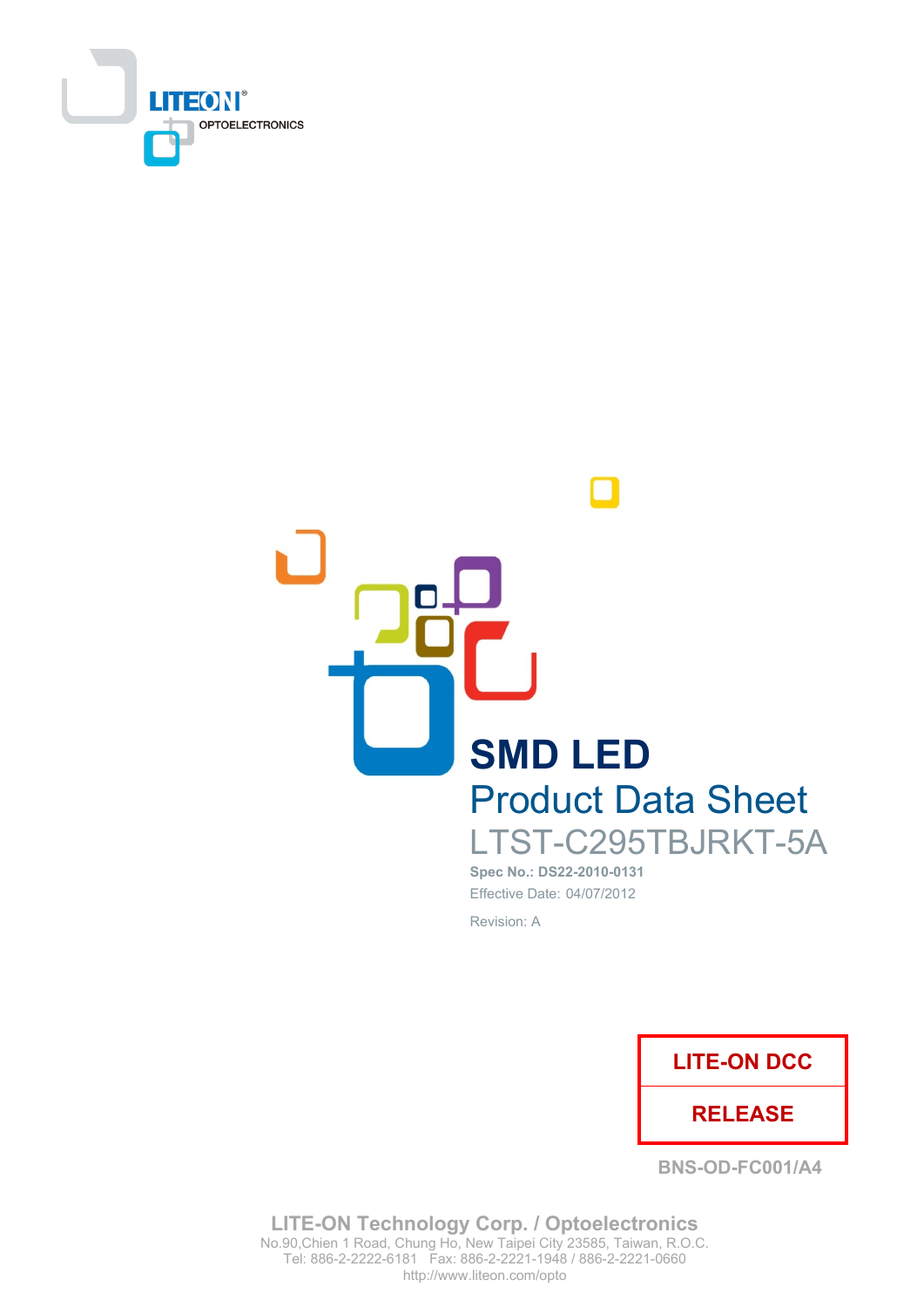



Spec No.: DS22-2010-0131 Effective Date: 04/07/2012 Revision: A



**BNS-OD-FC001/A4** 

**LITE-ON Technology Corp. / Optoelectronics** No.90, Chien 1 Road, Chung Ho, New Taipei City 23585, Taiwan, R.O.C. Tel: 886-2-2222-6181 Fax: 886-2-2221-1948 / 886-2-2221-0660 http://www.liteon.com/opto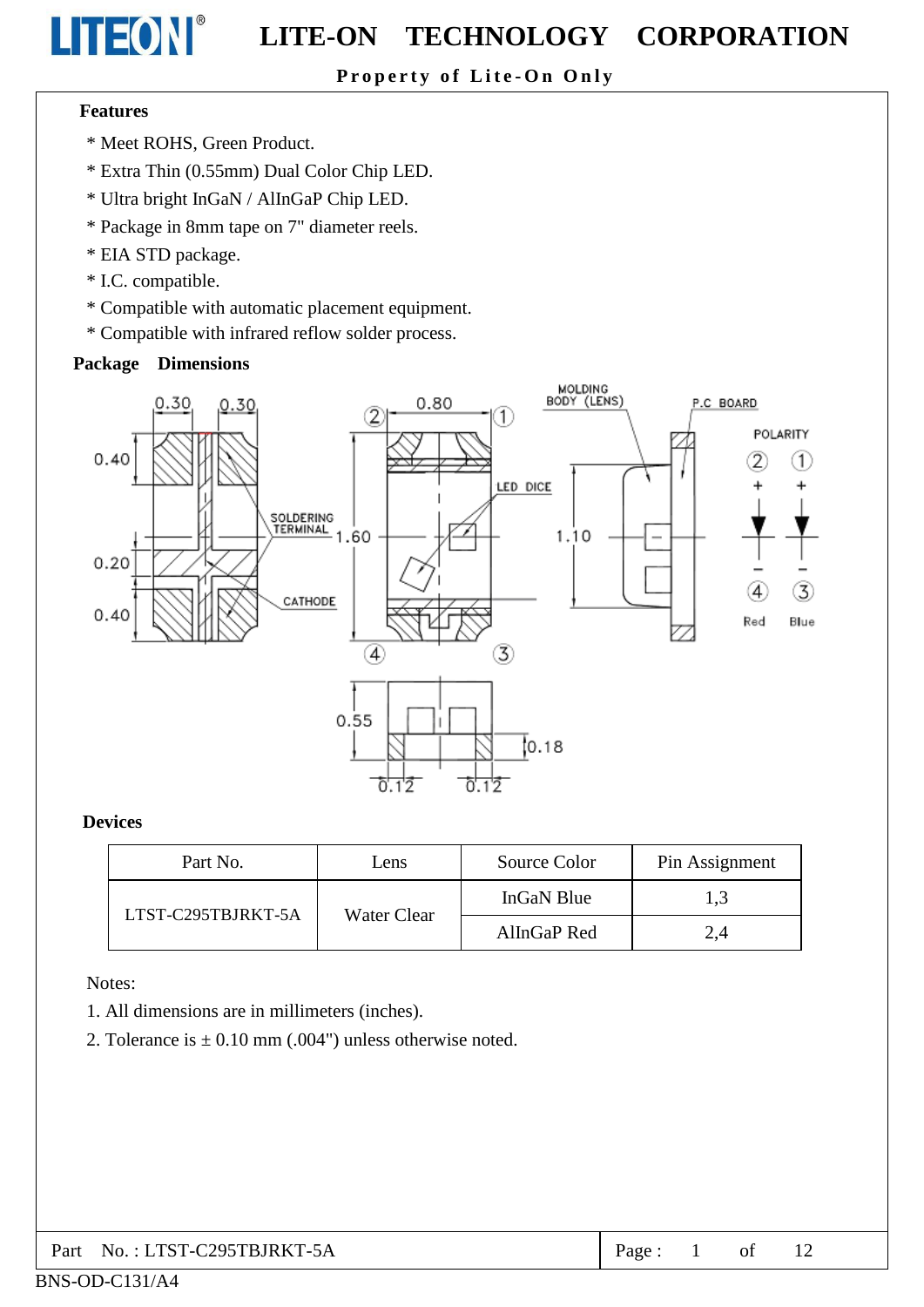## Property of Lite-On Only

#### **Features**

LITEON®

- \* Meet ROHS, Green Product.
- \* Extra Thin (0.55mm) Dual Color Chip LED.
- \* Ultra bright InGaN / AlInGaP Chip LED.
- \* Package in 8mm tape on 7" diameter reels.
- \* EIA STD package.
- \* I.C. compatible.
- \* Compatible with automatic placement equipment.
- \* Compatible with infrared reflow solder process.

#### **Package Dimensions**



#### **Devices**

| Part No.           | Source Color<br>Lens |             | Pin Assignment |
|--------------------|----------------------|-------------|----------------|
| LTST-C295TBJRKT-5A |                      | InGaN Blue  | 1,3            |
|                    | Water Clear          | AllnGaP Red | 2,4            |

Notes:

- 1. All dimensions are in millimeters (inches).
- 2. Tolerance is  $\pm$  0.10 mm (.004") unless otherwise noted.

| $\vert$ Part No.: LTST-C295TBJRKT-5A | Page: |  |  |  |  |
|--------------------------------------|-------|--|--|--|--|
|--------------------------------------|-------|--|--|--|--|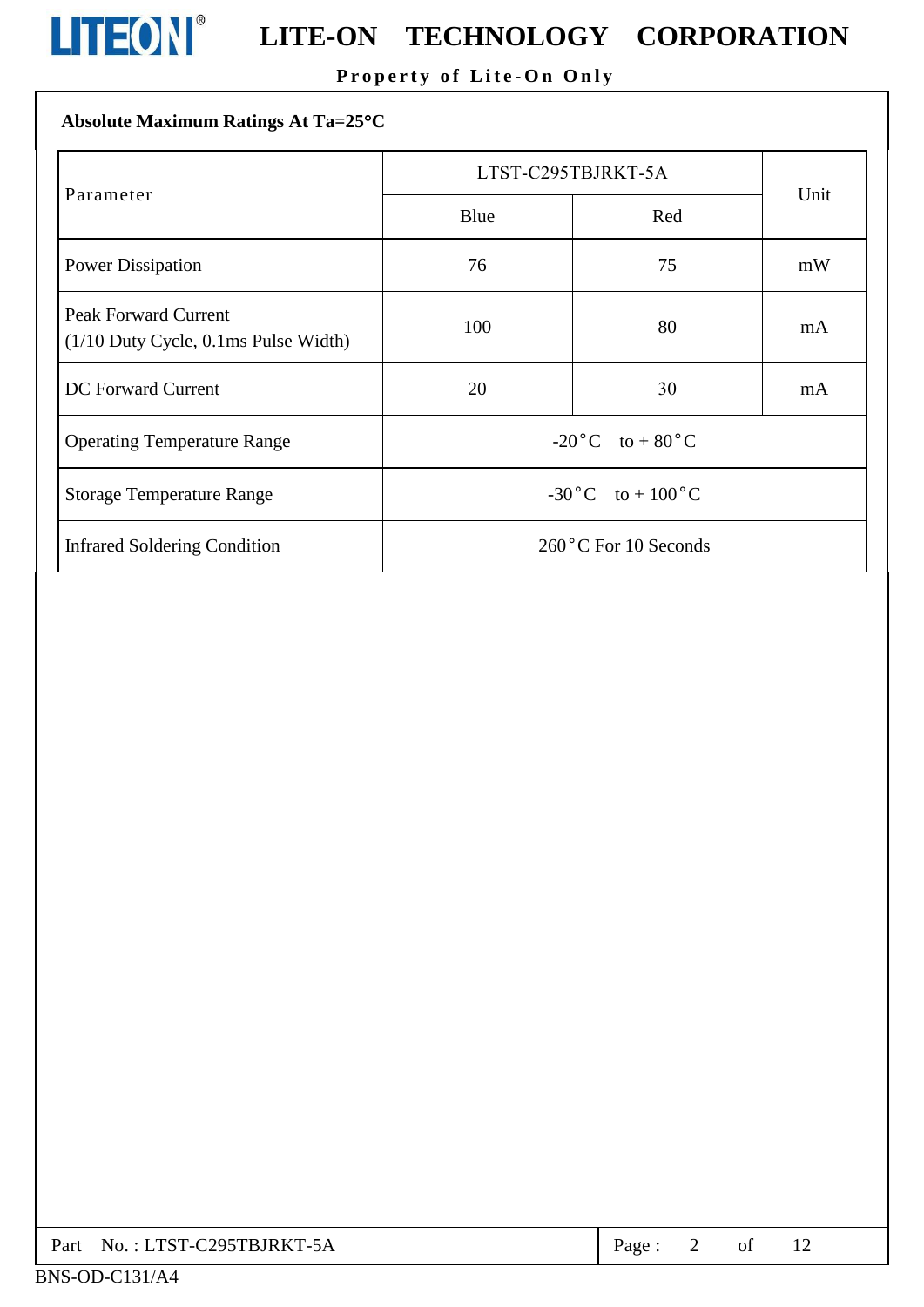![](_page_2_Picture_0.jpeg)

# **LITEON**<sup>®</sup> LITE-ON TECHNOLOGY CORPORATION

## Property of Lite-On Only

## Absolute Maximum Ratings At Ta=25°C

|                                                                          | LTST-C295TBJRKT-5A                |     |      |  |
|--------------------------------------------------------------------------|-----------------------------------|-----|------|--|
| Parameter                                                                | Blue                              | Red | Unit |  |
| <b>Power Dissipation</b>                                                 | 76<br>75                          |     | mW   |  |
| <b>Peak Forward Current</b><br>$(1/10$ Duty Cycle, $0.1$ ms Pulse Width) | 100                               | 80  | mA   |  |
| <b>DC</b> Forward Current                                                | 20                                | 30  | mA   |  |
| <b>Operating Temperature Range</b>                                       | $-20\degree C$ to $+80\degree C$  |     |      |  |
| <b>Storage Temperature Range</b>                                         | $-30\degree C$ to $+100\degree C$ |     |      |  |
| <b>Infrared Soldering Condition</b>                                      | $260^{\circ}$ C For 10 Seconds    |     |      |  |

| Part No.: LTST-C295TBJRKT-5A | Page: |  |  |  |
|------------------------------|-------|--|--|--|
|------------------------------|-------|--|--|--|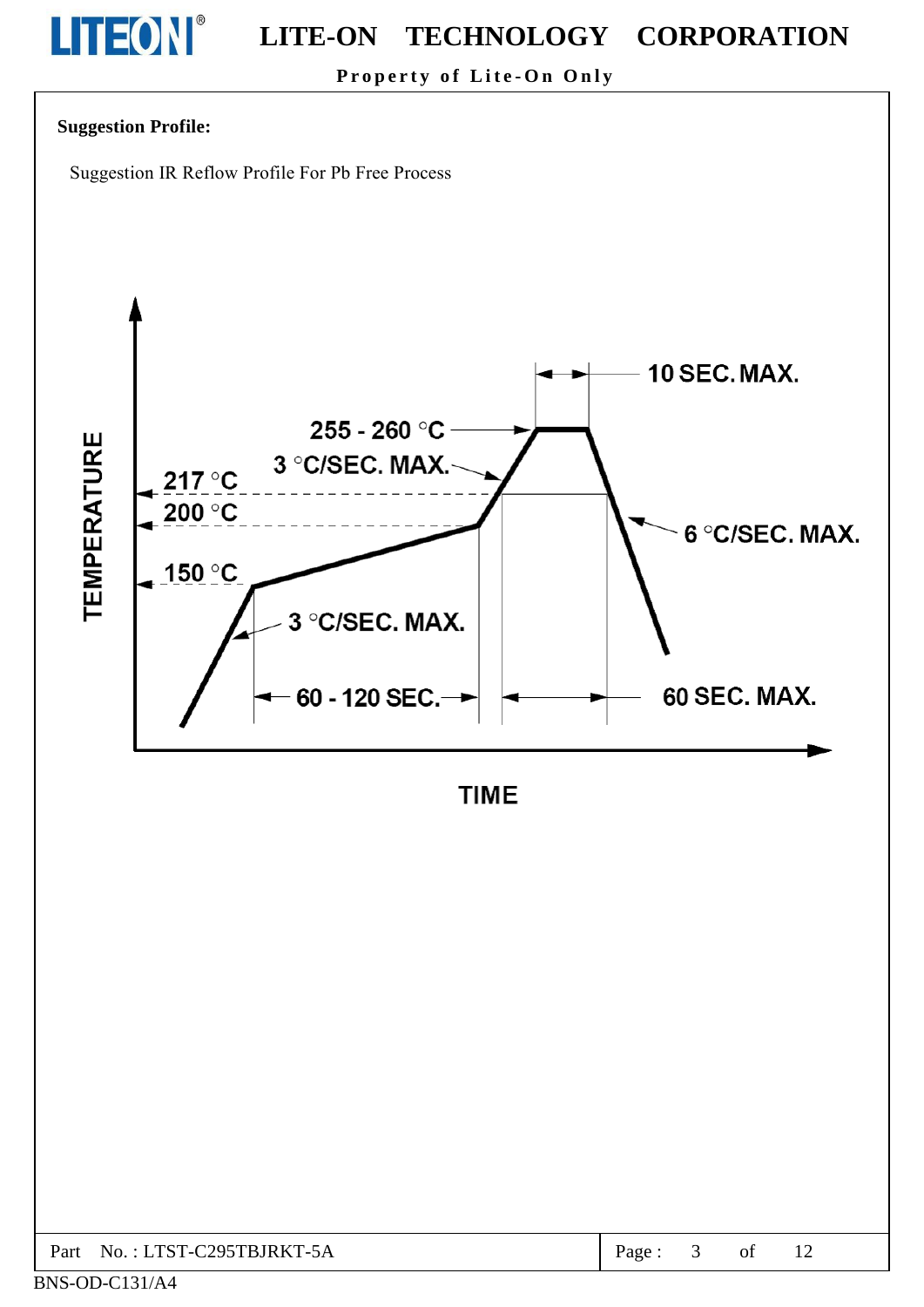# LITEON®

#### **LITE-ON** TECHNOLOGY CORPORATION

Property of Lite-On Only

## **Suggestion Profile:**

Suggestion IR Reflow Profile For Pb Free Process

![](_page_3_Figure_5.jpeg)

**TIME** 

| C <sub>295</sub> TBJRKT-5A<br>$N_O \cdot I TST$ -C<br>Part<br>age<br>ΟĪ |
|-------------------------------------------------------------------------|
|-------------------------------------------------------------------------|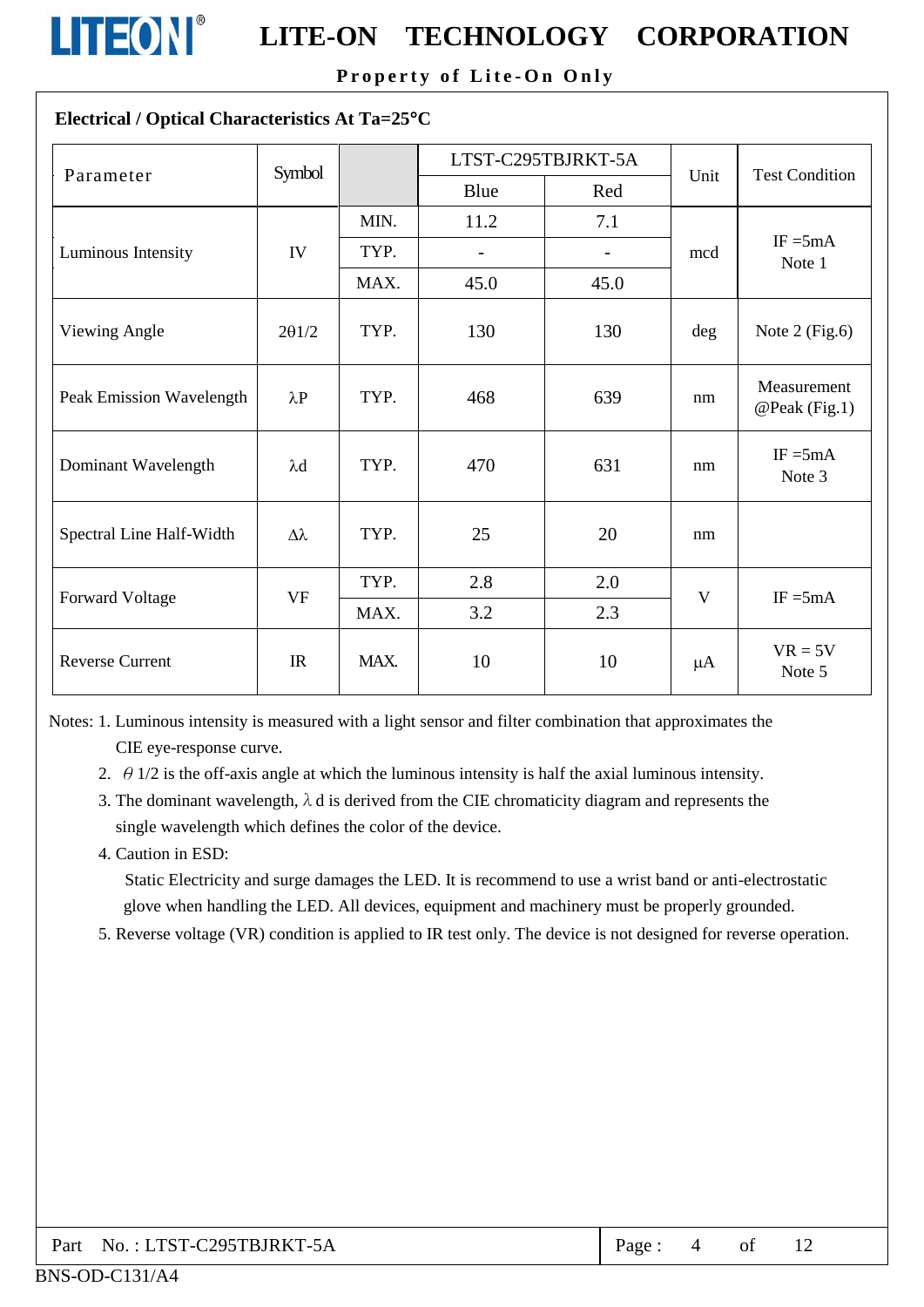![](_page_4_Picture_0.jpeg)

#### TECHNOLOGY CORPORATION **LITE-ON**

Property of Lite-On Only

### Electrical / Optical Characteristics At Ta=25°C

| Parameter                | Symbol          |      |                | LTST-C295TBJRKT-5A       | Unit | <b>Test Condition</b>        |
|--------------------------|-----------------|------|----------------|--------------------------|------|------------------------------|
|                          |                 |      | Blue           | Red                      |      |                              |
|                          |                 | MIN. | 11.2           | 7.1                      |      |                              |
| Luminous Intensity       | IV              | TYP. | $\overline{a}$ | $\overline{\phantom{0}}$ | mcd  | $IF = 5mA$<br>Note 1         |
|                          |                 | MAX. | 45.0           | 45.0                     |      |                              |
| Viewing Angle            | 201/2           | TYP. | 130            | 130                      | deg  | Note $2$ (Fig.6)             |
| Peak Emission Wavelength | $\lambda P$     | TYP. | 468            | 639                      | nm   | Measurement<br>@Peak (Fig.1) |
| Dominant Wavelength      | $\lambda$ d     | TYP. | 470            | 631                      | nm   | $IF = 5mA$<br>Note 3         |
| Spectral Line Half-Width | $\Delta\lambda$ | TYP. | 25             | 20                       | nm   |                              |
|                          | <b>VF</b>       | TYP. | 2.8            | 2.0                      | V    | $IF = 5mA$                   |
| <b>Forward Voltage</b>   |                 | MAX. | 3.2            | 2.3                      |      |                              |
| <b>Reverse Current</b>   | IR              | MAX. | 10             | 10                       | μA   | $VR = 5V$<br>Note 5          |

Notes: 1. Luminous intensity is measured with a light sensor and filter combination that approximates the CIE eye-response curve.

2.  $\theta$  1/2 is the off-axis angle at which the luminous intensity is half the axial luminous intensity.

3. The dominant wavelength,  $\lambda$  d is derived from the CIE chromaticity diagram and represents the single wavelength which defines the color of the device.

4. Caution in ESD:

Static Electricity and surge damages the LED. It is recommend to use a wrist band or anti-electrostatic glove when handling the LED. All devices, equipment and machinery must be properly grounded.

5. Reverse voltage (VR) condition is applied to IR test only. The device is not designed for reverse operation.

| Part No.: LTST-C295TBJRKT-5A | Page: |  |  |  |
|------------------------------|-------|--|--|--|
|------------------------------|-------|--|--|--|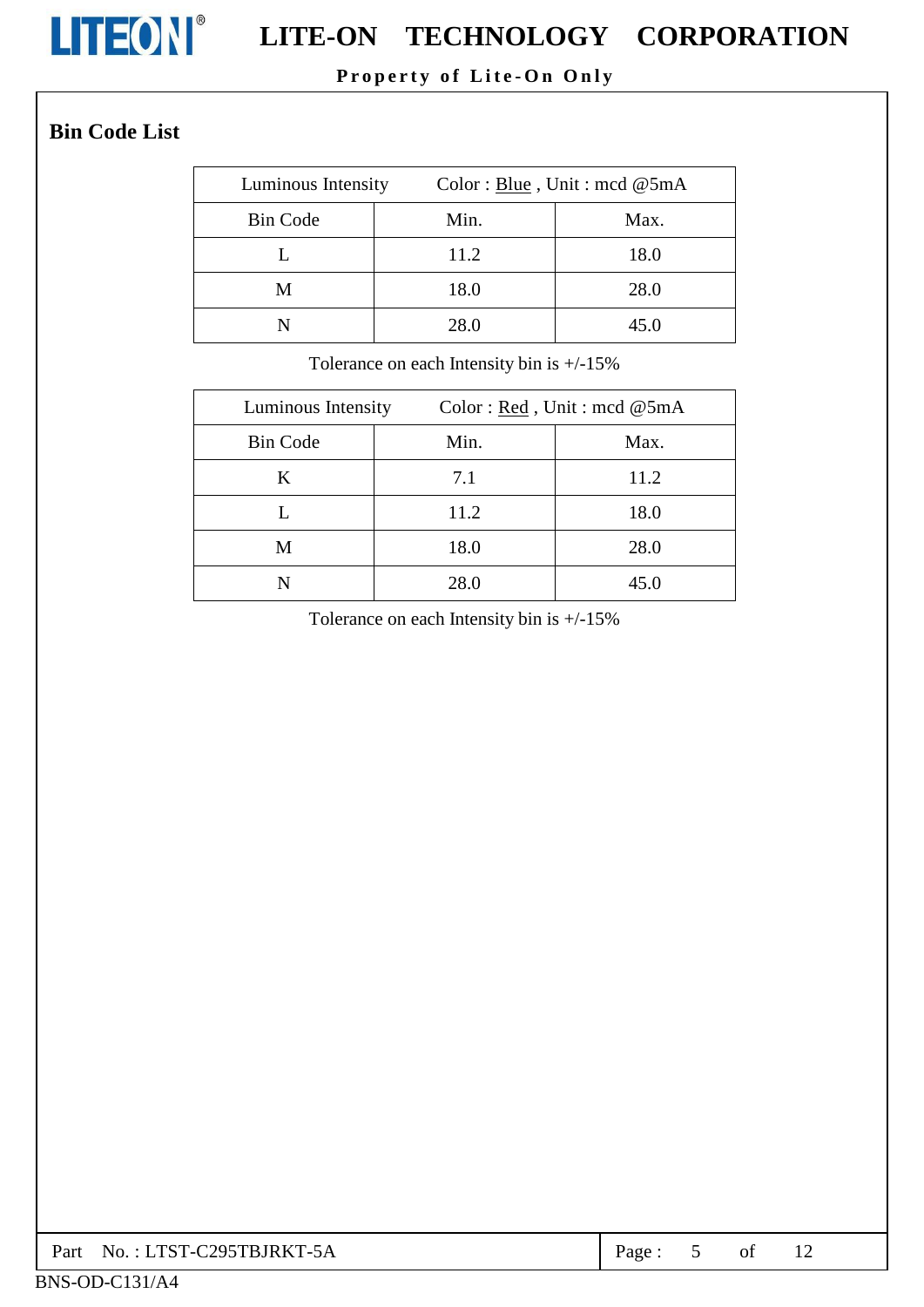![](_page_5_Picture_0.jpeg)

# **LITEON**<sup>®</sup> LITE-ON TECHNOLOGY CORPORATION

## Property of Lite-On Only

## **Bin Code List**

| Luminous Intensity | Color: Blue, Unit: mcd @5mA |      |
|--------------------|-----------------------------|------|
| <b>Bin Code</b>    | Min.                        | Max. |
|                    | 11.2                        | 18.0 |
| М                  | 18.0                        | 28.0 |
|                    | 28.0                        | 45.0 |

Tolerance on each Intensity bin is  $+/-15\%$ 

| Luminous Intensity |      | Color: $Red$ , Unit: mcd @5mA |
|--------------------|------|-------------------------------|
| <b>Bin Code</b>    | Min. | Max.                          |
| K                  | 7.1  | 11.2                          |
|                    | 11.2 | 18.0                          |
| M                  | 18.0 | 28.0                          |
|                    | 28.0 | 45.0                          |

Tolerance on each Intensity bin is  $+/-15\%$ 

|  | $\vert$ Part No.: LTST-C295TBJRKT-5A | Page: |  |  |  |  |
|--|--------------------------------------|-------|--|--|--|--|
|--|--------------------------------------|-------|--|--|--|--|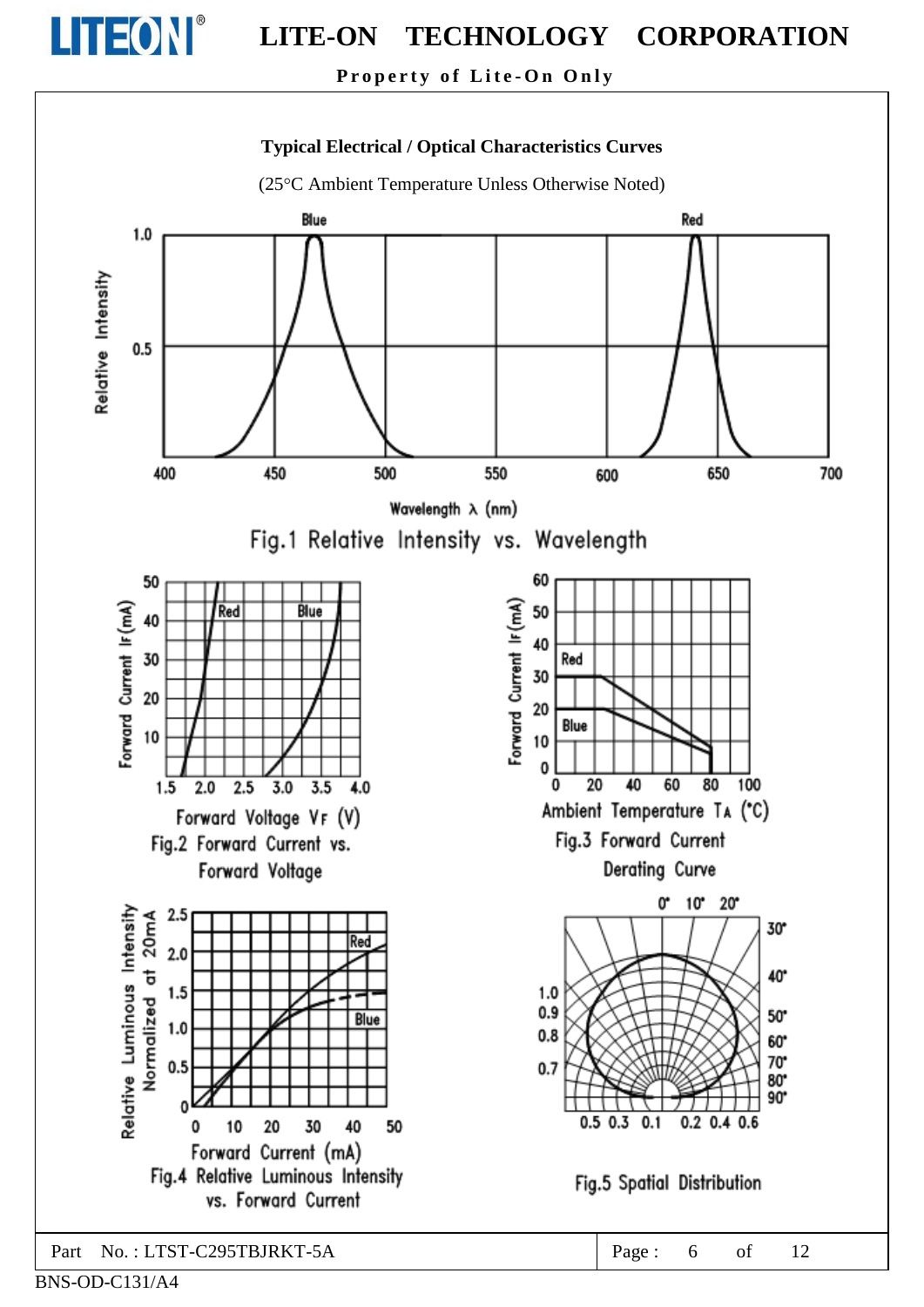![](_page_6_Picture_0.jpeg)

Property of Lite-On Only

![](_page_6_Figure_3.jpeg)

BNS-OD-C131/A4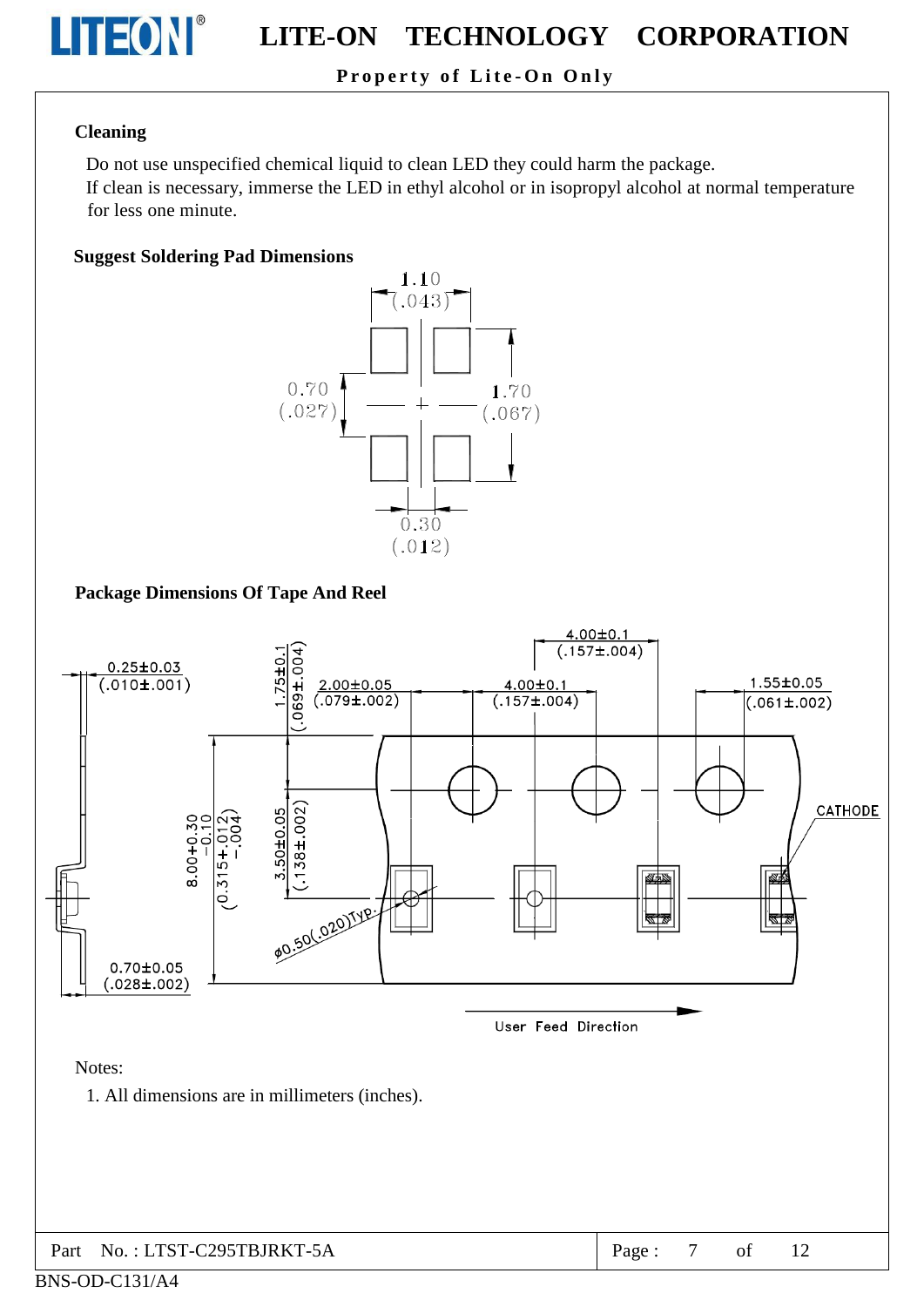![](_page_7_Picture_0.jpeg)

#### TECHNOLOGY CORPORATION **LITE-ON**

## Property of Lite-On Only

#### **Cleaning**

Do not use unspecified chemical liquid to clean LED they could harm the package.

If clean is necessary, immerse the LED in ethyl alcohol or in isopropyl alcohol at normal temperature for less one minute.

#### **Suggest Soldering Pad Dimensions**

![](_page_7_Figure_7.jpeg)

### **Package Dimensions Of Tape And Reel**

![](_page_7_Figure_9.jpeg)

BNS-OD-C131/A4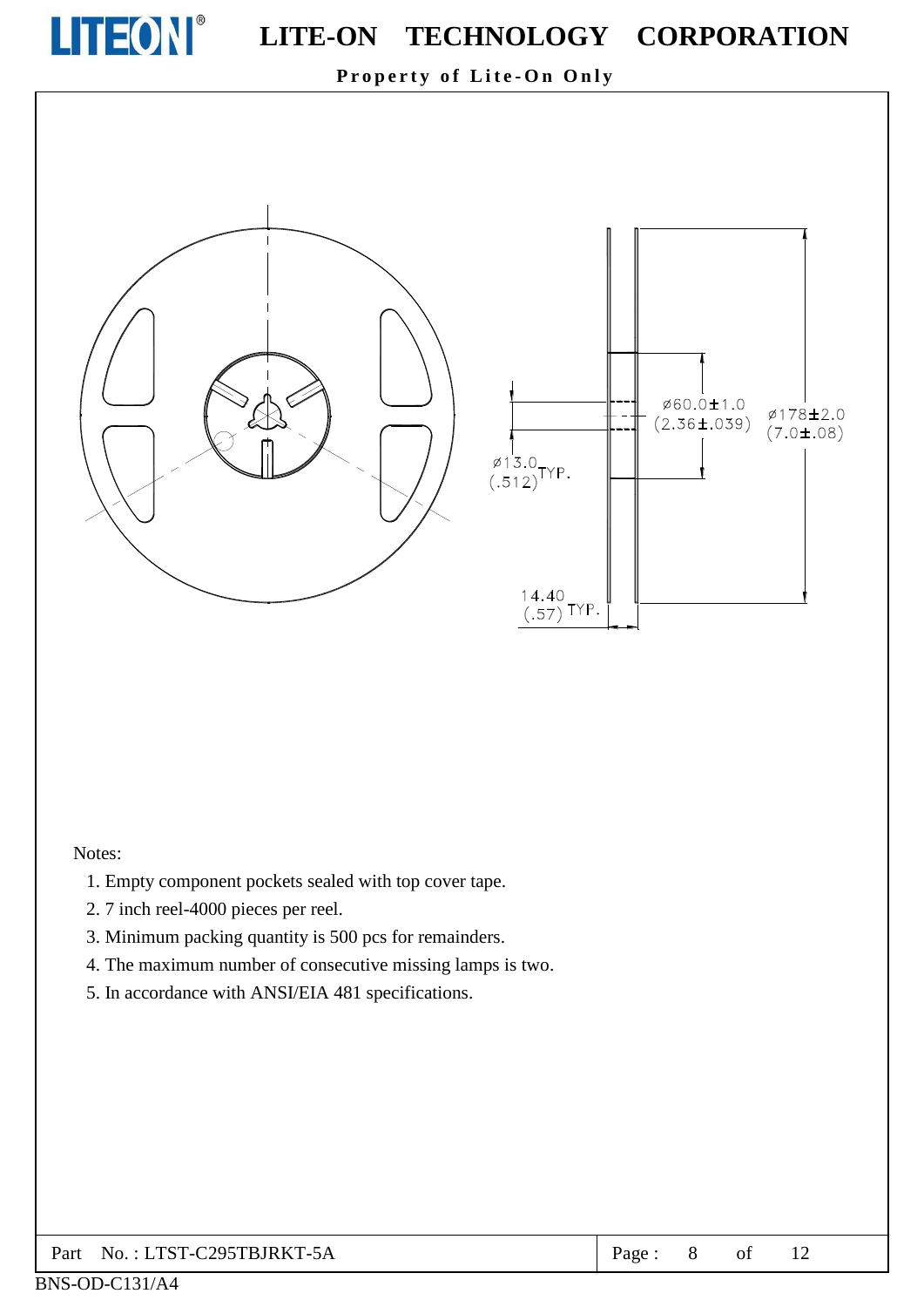![](_page_8_Picture_0.jpeg)

Property of Lite-On Only

![](_page_8_Figure_3.jpeg)

#### Notes:

- 1. Empty component pockets sealed with top cover tape.
- 2.7 inch reel-4000 pieces per reel.
- 3. Minimum packing quantity is 500 pcs for remainders.
- 4. The maximum number of consecutive missing lamps is two.
- 5. In accordance with ANSI/EIA 481 specifications.

#### No.: LTST-C295TBJRKT-5A Part

Ø178±2.0

 $(7.0 \pm .08)$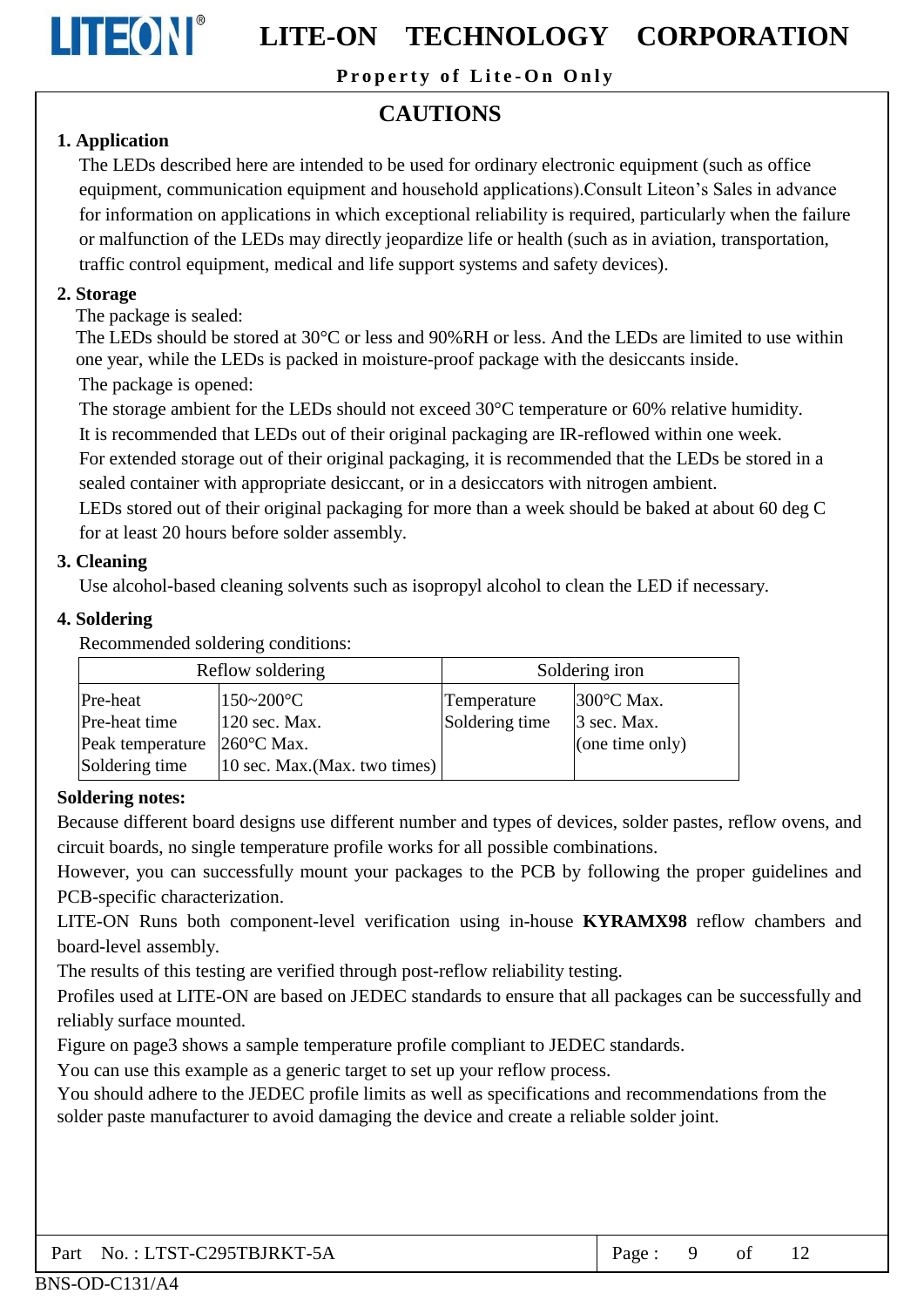![](_page_9_Picture_0.jpeg)

Property of Lite-On Only

## **CAUTIONS**

## 1. Application

The LEDs described here are intended to be used for ordinary electronic equipment (such as office equipment, communication equipment and household applications). Consult Liteon's Sales in advance for information on applications in which exceptional reliability is required, particularly when the failure or malfunction of the LEDs may directly jeopardize life or health (such as in aviation, transportation, traffic control equipment, medical and life support systems and safety devices).

## 2. Storage

The package is sealed:

The LEDs should be stored at 30 °C or less and 90% RH or less. And the LEDs are limited to use within one year, while the LEDs is packed in moisture-proof package with the desiccants inside. The package is opened:

The storage ambient for the LEDs should not exceed  $30^{\circ}$ C temperature or 60% relative humidity.

It is recommended that LEDs out of their original packaging are IR-reflowed within one week.

For extended storage out of their original packaging, it is recommended that the LEDs be stored in a sealed container with appropriate desiccant, or in a desiccators with nitrogen ambient.

LEDs stored out of their original packaging for more than a week should be baked at about 60 deg C for at least 20 hours before solder assembly.

## 3. Cleaning

Use alcohol-based cleaning solvents such as isopropyl alcohol to clean the LED if necessary.

## 4. Soldering

Recommended soldering conditions:

| Reflow soldering |                                                                 | Soldering iron |                      |  |  |
|------------------|-----------------------------------------------------------------|----------------|----------------------|--|--|
| Pre-heat         | $150 - 200$ °C                                                  | Temperature    | $300^{\circ}$ C Max. |  |  |
| Pre-heat time    | $120$ sec. Max.                                                 | Soldering time | 3 sec. Max.          |  |  |
| Peak temperature | $260^{\circ}$ C Max.                                            |                | (one time only)      |  |  |
| Soldering time   | $ 10 \text{ sec. } \text{Max.}(\text{Max. } \text{two times}) $ |                |                      |  |  |

## **Soldering notes:**

Because different board designs use different number and types of devices, solder pastes, reflow ovens, and circuit boards, no single temperature profile works for all possible combinations.

However, you can successfully mount your packages to the PCB by following the proper guidelines and PCB-specific characterization.

LITE-ON Runs both component-level verification using in-house KYRAMX98 reflow chambers and board-level assembly.

The results of this testing are verified through post-reflow reliability testing.

Profiles used at LITE-ON are based on JEDEC standards to ensure that all packages can be successfully and reliably surface mounted.

Figure on page3 shows a sample temperature profile compliant to JEDEC standards.

You can use this example as a generic target to set up your reflow process.

You should adhere to the JEDEC profile limits as well as specifications and recommendations from the solder paste manufacturer to avoid damaging the device and create a reliable solder joint.

| Part No.: LTST-C295TBJRKT-5A | $\vert$ Page: 9 of |  |  |  |  |
|------------------------------|--------------------|--|--|--|--|
|------------------------------|--------------------|--|--|--|--|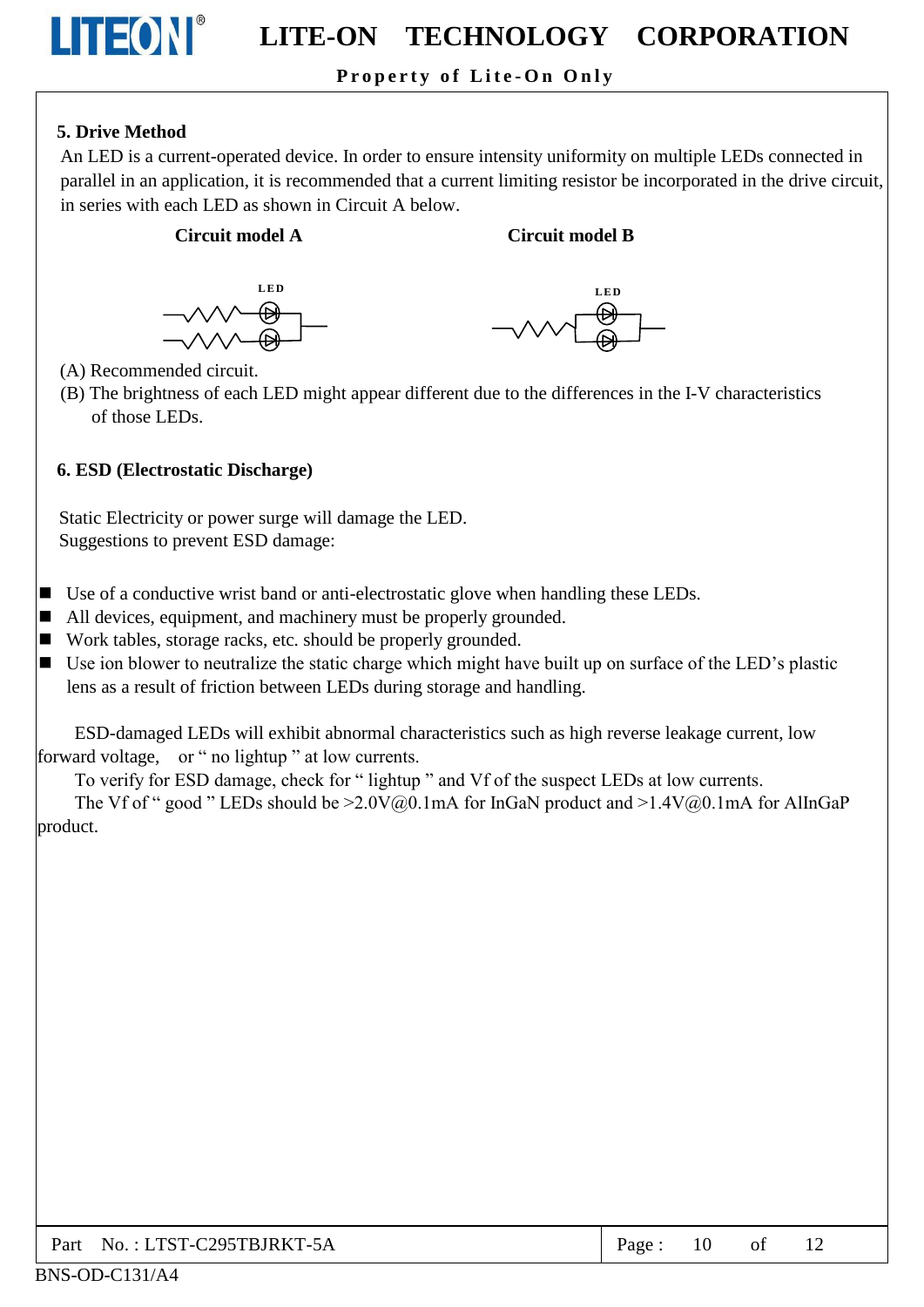## Property of Lite-On Only

## 5. Drive Method

LITEONI®

An LED is a current-operated device. In order to ensure intensity uniformity on multiple LEDs connected in parallel in an application, it is recommended that a current limiting resistor be incorporated in the drive circuit, in series with each LED as shown in Circuit A below.

#### **Circuit model A**

#### **Circuit model B**

![](_page_10_Figure_6.jpeg)

- (A) Recommended circuit.
- (B) The brightness of each LED might appear different due to the differences in the I-V characteristics of those LEDs.

### **6. ESD (Electrostatic Discharge)**

Static Electricity or power surge will damage the LED. Suggestions to prevent ESD damage:

- Use of a conductive wrist band or anti-electrostatic glove when handling these LEDs.
- All devices, equipment, and machinery must be properly grounded.
- Work tables, storage racks, etc. should be properly grounded.
- $\blacksquare$  Use ion blower to neutralize the static charge which might have built up on surface of the LED's plastic lens as a result of friction between LEDs during storage and handling.

ESD-damaged LEDs will exhibit abnormal characteristics such as high reverse leakage current, low forward voltage, or " no lightup" at low currents.

To verify for ESD damage, check for "lightup" and Vf of the suspect LEDs at low currents.

The Vf of " good " LEDs should be  $>2.0V(0,0.1mA$  for InGaN product and  $>1.4V(0,0.1mA$  for AlInGaP product.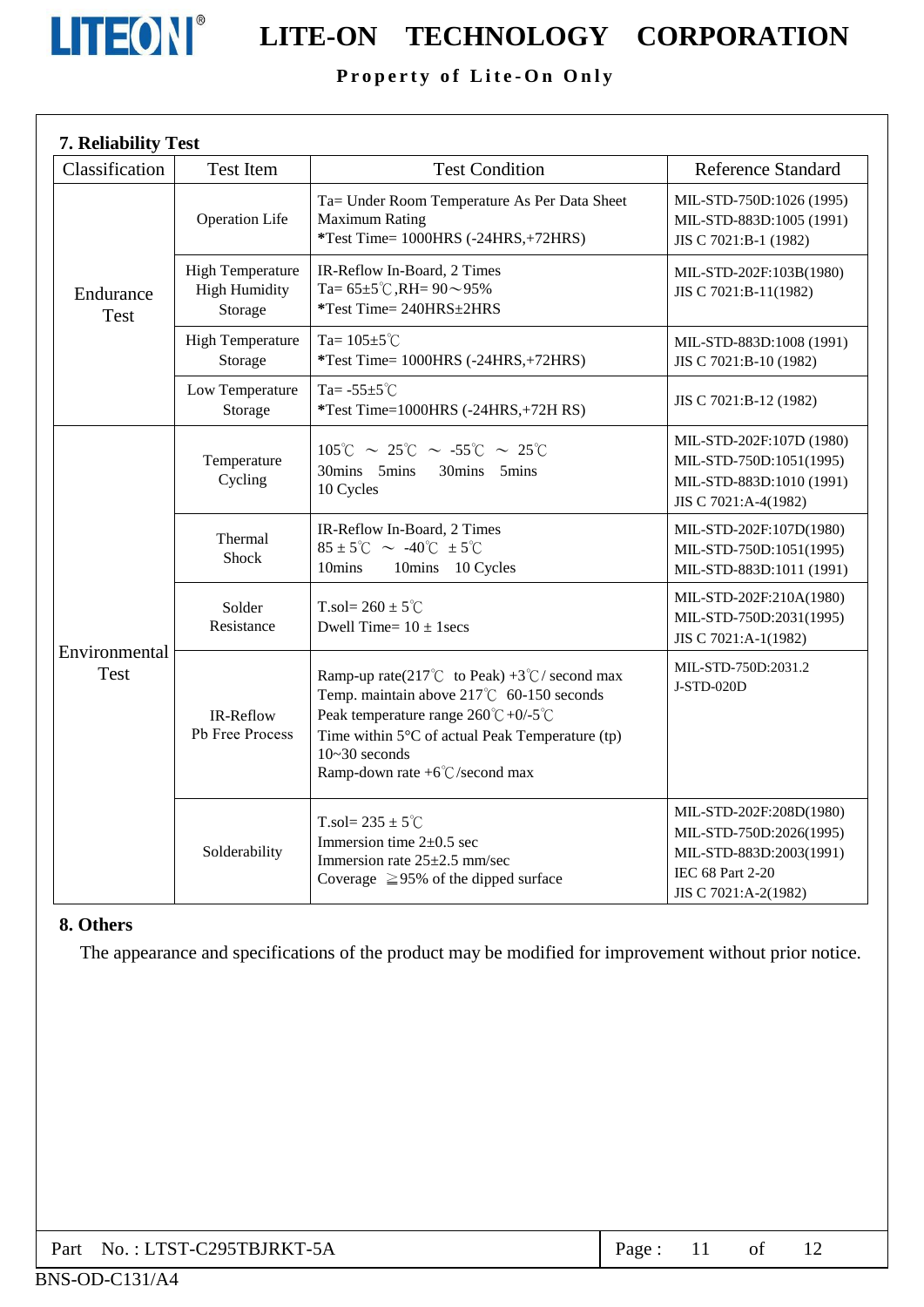![](_page_11_Picture_0.jpeg)

# **LITEON**<sup>®</sup> LITE-ON TECHNOLOGY CORPORATION

## Property of Lite-On Only

| 7. Reliability Test      |                                                            |                                                                                                                                                                                                                                                                                 |                                                                                                                           |
|--------------------------|------------------------------------------------------------|---------------------------------------------------------------------------------------------------------------------------------------------------------------------------------------------------------------------------------------------------------------------------------|---------------------------------------------------------------------------------------------------------------------------|
| Classification           | <b>Test Item</b>                                           | <b>Test Condition</b>                                                                                                                                                                                                                                                           | <b>Reference Standard</b>                                                                                                 |
| Endurance<br><b>Test</b> | <b>Operation Life</b>                                      | Ta= Under Room Temperature As Per Data Sheet<br><b>Maximum Rating</b><br>*Test Time= 1000HRS (-24HRS,+72HRS)                                                                                                                                                                    | MIL-STD-750D:1026 (1995)<br>MIL-STD-883D:1005 (1991)<br>JIS C 7021:B-1 (1982)                                             |
|                          | <b>High Temperature</b><br><b>High Humidity</b><br>Storage | IR-Reflow In-Board, 2 Times<br>Ta= $65\pm5^{\circ}$ C, RH= $90\sim95\%$<br>*Test Time= 240HRS±2HRS                                                                                                                                                                              | MIL-STD-202F:103B(1980)<br>JIS C 7021:B-11(1982)                                                                          |
|                          | <b>High Temperature</b><br>Storage                         | Ta= $105 \pm 5^{\circ}$ C<br>*Test Time= 1000HRS (-24HRS,+72HRS)                                                                                                                                                                                                                | MIL-STD-883D:1008 (1991)<br>JIS C 7021:B-10 (1982)                                                                        |
|                          | Low Temperature<br>Storage                                 | Ta= $-55\pm5^{\circ}$ C<br>*Test Time=1000HRS (-24HRS,+72H RS)                                                                                                                                                                                                                  | JIS C 7021:B-12 (1982)                                                                                                    |
| Environmental<br>Test    | Temperature<br>Cycling                                     | $105^{\circ}$ C ~ 25 $^{\circ}$ C ~ -55 $^{\circ}$ C ~ 25 $^{\circ}$ C<br>30mins 5mins<br>30mins 5mins<br>10 Cycles                                                                                                                                                             | MIL-STD-202F:107D (1980)<br>MIL-STD-750D:1051(1995)<br>MIL-STD-883D:1010 (1991)<br>JIS C 7021:A-4(1982)                   |
|                          | Thermal<br>Shock                                           | IR-Reflow In-Board, 2 Times<br>$85 \pm 5^{\circ}$ C ~ -40 $^{\circ}$ C $\pm 5^{\circ}$ C<br>10mins<br>10mins 10 Cycles                                                                                                                                                          | MIL-STD-202F:107D(1980)<br>MIL-STD-750D:1051(1995)<br>MIL-STD-883D:1011 (1991)                                            |
|                          | Solder<br>Resistance                                       | T.sol= $260 \pm 5^{\circ}$ C<br>Dwell Time= $10 \pm 1$ secs                                                                                                                                                                                                                     | MIL-STD-202F:210A(1980)<br>MIL-STD-750D:2031(1995)<br>JIS C 7021:A-1(1982)                                                |
|                          | IR-Reflow<br>Pb Free Process                               | Ramp-up rate(217°C to Peak) +3°C/ second max<br>Temp. maintain above 217°C 60-150 seconds<br>Peak temperature range $260^{\circ}C + 0/5^{\circ}C$<br>Time within $5^{\circ}$ C of actual Peak Temperature (tp)<br>$10 - 30$ seconds<br>Ramp-down rate $+6^{\circ}$ C/second max | MIL-STD-750D:2031.2<br>J-STD-020D                                                                                         |
|                          | Solderability                                              | T.sol= $235 \pm 5^{\circ}$ C<br>Immersion time $2\pm0.5$ sec<br>Immersion rate $25\pm2.5$ mm/sec<br>Coverage $\geq$ 95% of the dipped surface                                                                                                                                   | MIL-STD-202F:208D(1980)<br>MIL-STD-750D:2026(1995)<br>MIL-STD-883D:2003(1991)<br>IEC 68 Part 2-20<br>JIS C 7021:A-2(1982) |

#### 8. Others

The appearance and specifications of the product may be modified for improvement without prior notice.